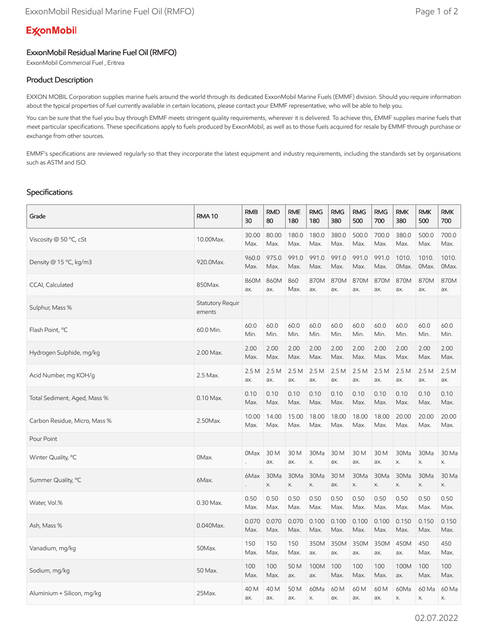# **ExconMobil**

## ExxonMobil Residual Marine Fuel Oil (RMFO)

ExxonMobil Commercial Fuel , Eritrea

## Product Description

EXXON MOBIL Corporation supplies marine fuels around the world through its dedicated ExxonMobil Marine Fuels (EMMF) division. Should you require information about the typical properties of fuel currently available in certain locations, please contact your EMMF representative, who will be able to help you.

You can be sure that the fuel you buy through EMMF meets stringent quality requirements, wherever it is delivered. To achieve this, EMMF supplies marine fuels that meet particular specifications. These specifications apply to fuels produced by ExxonMobil, as well as to those fuels acquired for resale by EMMF through purchase or exchange from other sources.

EMMF's specifications are reviewed regularly so that they incorporate the latest equipment and industry requirements, including the standards set by organisations such as ASTM and ISO.

### Specifications

| Grade                         | <b>RMA10</b>               | <b>RMB</b><br>30 | <b>RMD</b><br>80 | <b>RME</b><br>180 | <b>RMG</b><br>180 | <b>RMG</b><br>380 | <b>RMG</b><br>500 | <b>RMG</b><br>700 | <b>RMK</b><br>380 | <b>RMK</b><br>500 | <b>RMK</b><br>700 |
|-------------------------------|----------------------------|------------------|------------------|-------------------|-------------------|-------------------|-------------------|-------------------|-------------------|-------------------|-------------------|
| Viscosity @ 50 °C, cSt        | 10.00Max.                  | 30.00<br>Max.    | 80.00<br>Max.    | 180.0<br>Max.     | 180.0<br>Max.     | 380.0<br>Max.     | 500.0<br>Max.     | 700.0<br>Max.     | 380.0<br>Max.     | 500.0<br>Max.     | 700.0<br>Max.     |
| Density @ 15 °C, kg/m3        | 920.0Max.                  | 960.0<br>Max.    | 975.0<br>Max.    | 991.0<br>Max.     | 991.0<br>Max.     | 991.0<br>Max.     | 991.0<br>Max.     | 991.0<br>Max.     | 1010.<br>OMax.    | 1010.<br>OMax.    | 1010.<br>OMax.    |
| CCAI, Calculated              | 850Max.                    | 860M<br>ax.      | 860M<br>ax.      | 860<br>Max.       | 870M<br>ax.       | 870M<br>ax.       | 870M<br>ax.       | 870M<br>ax.       | 870M<br>ax.       | 870M<br>ax.       | 870M<br>ax.       |
| Sulphur, Mass %               | Statutory Requir<br>ements |                  |                  |                   |                   |                   |                   |                   |                   |                   |                   |
| Flash Point, °C               | 60.0 Min.                  | 60.0<br>Min.     | 60.0<br>Min.     | 60.0<br>Min.      | 60.0<br>Min.      | 60.0<br>Min.      | 60.0<br>Min.      | 60.0<br>Min.      | 60.0<br>Min.      | 60.0<br>Min.      | 60.0<br>Min.      |
| Hydrogen Sulphide, mg/kg      | 2.00 Max.                  | 2.00<br>Max.     | 2.00<br>Max.     | 2.00<br>Max.      | 2.00<br>Max.      | 2.00<br>Max.      | 2.00<br>Max.      | 2.00<br>Max.      | 2.00<br>Max.      | 2.00<br>Max.      | 2.00<br>Max.      |
| Acid Number, mg KOH/g         | 2.5 Max.                   | 2.5M<br>ax.      | 2.5M<br>ax.      | 2.5M<br>ax.       | 2.5 M<br>ax.      | 2.5 M<br>ax.      | 2.5M<br>ax.       | 2.5M<br>ax.       | 2.5M<br>ax.       | 2.5M<br>ax.       | 2.5 M<br>ax.      |
| Total Sediment, Aged, Mass %  | $0.10$ Max.                | 0.10<br>Max.     | 0.10<br>Max.     | 0.10<br>Max.      | 0.10<br>Max.      | 0.10<br>Max.      | 0.10<br>Max.      | 0.10<br>Max.      | 0.10<br>Max.      | 0.10<br>Max.      | 0.10<br>Max.      |
| Carbon Residue, Micro, Mass % | 2.50Max.                   | 10.00<br>Max.    | 14.00<br>Max.    | 15.00<br>Max.     | 18.00<br>Max.     | 18.00<br>Max.     | 18.00<br>Max.     | 18.00<br>Max.     | 20.00<br>Max.     | 20.00<br>Max.     | 20.00<br>Max.     |
| Pour Point                    |                            |                  |                  |                   |                   |                   |                   |                   |                   |                   |                   |
| Winter Quality, °C            | OMax.                      | 0Max             | 30 M<br>ax.      | 30 M<br>ax.       | 30Ma<br>Х.        | 30 M<br>ax.       | 30 M<br>ax.       | 30 M<br>ax.       | 30Ma<br>Х.        | 30Ma<br>Х.        | 30 Ma<br>X.       |
| Summer Quality, °C            | 6Max.                      | 6Max             | 30Ma<br>Х.       | 30Ma<br>Х.        | 30Ma<br>Х.        | 30 M<br>ax.       | 30Ma<br>Х.        | 30Ma<br>Х.        | 30Ma<br>X.        | 30Ma<br>Х.        | 30 Ma<br>X.       |
| Water, Vol.%                  | 0.30 Max.                  | 0.50<br>Max.     | 0.50<br>Max.     | 0.50<br>Max.      | 0.50<br>Max.      | 0.50<br>Max.      | 0.50<br>Max.      | 0.50<br>Max.      | 0.50<br>Max.      | 0.50<br>Max.      | 0.50<br>Max.      |
| Ash, Mass %                   | $0.040$ Max.               | 0.070<br>Max.    | 0.070<br>Max.    | 0.070<br>Max.     | 0.100<br>Max.     | 0.100<br>Max.     | 0.100<br>Max.     | 0.100<br>Max.     | 0.150<br>Max.     | 0.150<br>Max.     | 0.150<br>Max.     |
| Vanadium, mg/kg               | 50Max.                     | 150<br>Max.      | 150<br>Max.      | 150<br>Max.       | 350M<br>ax.       | 350M<br>ax.       | 350M<br>ax.       | 350M<br>ax.       | 450M<br>ax.       | 450<br>Max.       | 450<br>Max.       |
| Sodium, mg/kg                 | 50 Max.                    | 100<br>Max.      | 100<br>Max.      | 50 M<br>ax.       | 100M<br>ax.       | 100<br>Max.       | 100<br>Max.       | 100<br>Max.       | 100M<br>ax.       | 100<br>Max.       | 100<br>Max.       |
| Aluminium + Silicon, mg/kg    | 25Max.                     | 40 M<br>ax.      | 40 M<br>ax.      | 50 M<br>ax.       | 60Ma<br>Х.        | 60 M<br>ax.       | 60 M<br>ax.       | 60 M<br>ax.       | 60Ma<br>Х.        | 60 Ma<br>X.       | 60 Ma<br>Х.       |